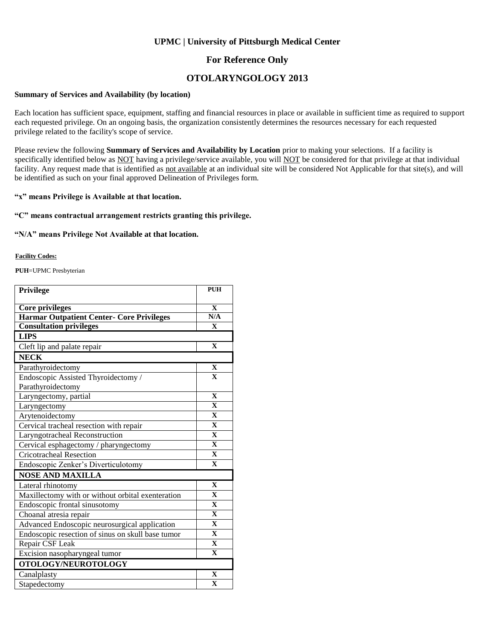### **UPMC | University of Pittsburgh Medical Center**

### **For Reference Only**

## **OTOLARYNGOLOGY 2013**

#### **Summary of Services and Availability (by location)**

Each location has sufficient space, equipment, staffing and financial resources in place or available in sufficient time as required to support each requested privilege. On an ongoing basis, the organization consistently determines the resources necessary for each requested privilege related to the facility's scope of service.

Please review the following **Summary of Services and Availability by Location** prior to making your selections. If a facility is specifically identified below as NOT having a privilege/service available, you will NOT be considered for that privilege at that individual facility. Any request made that is identified as not available at an individual site will be considered Not Applicable for that site(s), and will be identified as such on your final approved Delineation of Privileges form.

#### **"x" means Privilege is Available at that location.**

#### **"C" means contractual arrangement restricts granting this privilege.**

#### **"N/A" means Privilege Not Available at that location.**

#### **Facility Codes:**

**PUH**=UPMC Presbyterian

| Privilege                                         | <b>PUH</b>              |
|---------------------------------------------------|-------------------------|
| Core privileges                                   | $\mathbf{X}$            |
| <b>Harmar Outpatient Center- Core Privileges</b>  | N/A                     |
| <b>Consultation privileges</b>                    | $\mathbf{X}$            |
| <b>LIPS</b>                                       |                         |
| Cleft lip and palate repair                       | $\mathbf X$             |
| <b>NECK</b>                                       |                         |
| Parathyroidectomy                                 | $\mathbf X$             |
| Endoscopic Assisted Thyroidectomy /               | $\mathbf{X}$            |
| Parathyroidectomy                                 |                         |
| Laryngectomy, partial                             | $\mathbf{X}$            |
| Laryngectomy                                      | $\mathbf{x}$            |
| Arytenoidectomy                                   | $\mathbf{X}$            |
| Cervical tracheal resection with repair           | $\mathbf X$             |
| Laryngotracheal Reconstruction                    | $\mathbf{X}$            |
| Cervical esphagectomy / pharyngectomy             | $\mathbf{X}$            |
| <b>Cricotracheal Resection</b>                    | $\mathbf X$             |
| Endoscopic Zenker's Diverticulotomy               | $\mathbf{X}$            |
| <b>NOSE AND MAXILLA</b>                           |                         |
| Lateral rhinotomy                                 | $\mathbf{X}$            |
| Maxillectomy with or without orbital exenteration | $\mathbf{X}$            |
| Endoscopic frontal sinusotomy                     | $\overline{\mathbf{X}}$ |
| Choanal atresia repair                            | $\mathbf{X}$            |
| Advanced Endoscopic neurosurgical application     | $\overline{\mathbf{X}}$ |
| Endoscopic resection of sinus on skull base tumor | $\mathbf{x}$            |
| Repair CSF Leak                                   | $\mathbf X$             |
| Excision nasopharyngeal tumor                     | $\mathbf X$             |
| OTOLOGY/NEUROTOLOGY                               |                         |
| Canalplasty                                       | $\mathbf{X}$            |
| Stapedectomy                                      | $\overline{\mathbf{X}}$ |